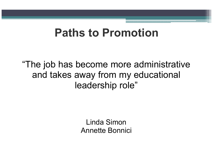## Paths to Promotion

"The job has become more administrative and takes away from my educational leadership role"

> Linda SimonAnnette Bonnici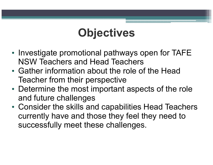# **Objectives**

- •• Investigate promotional pathways open for TAFE NSW Teachers and Head Teachers
- • Gather information about the role of the Head Teacher from their perspective
- $\bullet$  I latarmina tha most imnortani Determine the most important aspects of the role and future challenges
- $\bullet$  ( )onsider the skills are Consider the skills and capabilities Head Teachers currently have and those they feel they need to successfully meet these challenges.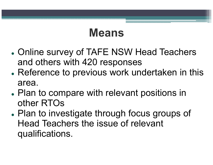### Means

- $\bullet$  Online survey of TAFE NSW Head Teachers and others with 420 responses
- $\bullet$  Reference to previous work undertaken in this area.
- $\bullet$  Plan to compare with relevant positions in other RTOs
- $\bullet$  Plan to investigate through focus groups of Head Teachers the issue of relevant qualifications.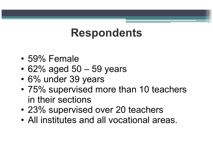## Respondents

- •59% Female
- •62% aged  $50 - 59$  years
- •6% under 39 years
- $\bullet$  75% cunerviced m 75% supervised more than 10 teachers<br>in their costions in their sections
- $\bullet$  '23% cunarvica 23% supervised over 20 teachers
- •All institutes and all vocational areas.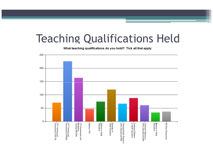## Teaching Qualifications Held

What teaching qualifications do you hold? Tick all that apply

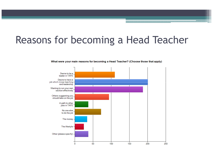#### Reasons for becoming a Head Teacher

3333



What were your main reasons for becoming a Head Teacher? (Choose those that apply)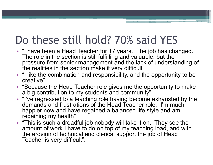# Do these still hold? 70% said YES

- "I have been a Head Teacher for 17 years. The job has changed. The role in the section is still fulfilling and valuable, but the pressure from senior management and the lack of understanding of the realities in the section make it very difficult"
- "I like the combination and responsibility, and the opportunity to be creative"
- "Because the Head Teacher role gives me the opportunity to make •a big contribution to my students and community"
- "I've regressed to a teaching role having become exhausted by the demands and frustrations of the Head Teacher role. I'm much happier now and have regained a balanced life style and am regaining my health"
- "This is such a dreadful job nobody will take it on. They see the amount of work I have to do on top of my teaching load, and with the erosion of technical and clerical support the job of Head Teacher is very difficult".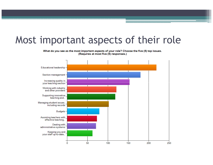#### Most important aspects of their role

What do you see as the most important aspects of your role? Choose the five (5) top issues. (Requires at most five (5) responses.)

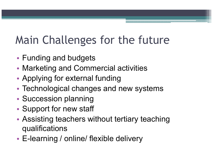# Main Challenges for the future

- •Funding and budgets
- •Marketing and Commercial activities
- •Applying for external funding
- •Technological changes and new systems
- •• Succession planning
- •• Support for new staff
- • Assisting teachers without tertiary teaching qualifications
- •E-learning / online/ flexible delivery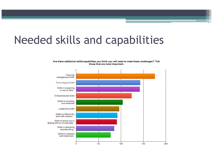# Needed skills and capabilities

#### Are there additional skills/capabilities you think you will need to meet these challenges? Tick those that are most important.

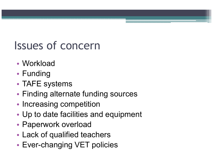# Issues of concern

- •• Workload
- •• Funding
- •• TAFE systems
- •Finding alternate funding sources
- •• Increasing competition
- •Up to date facilities and equipment
- •Paperwork overload
- •Lack of qualified teachers
- •Ever-changing VET policies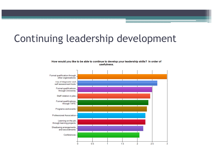## Continuing leadership development